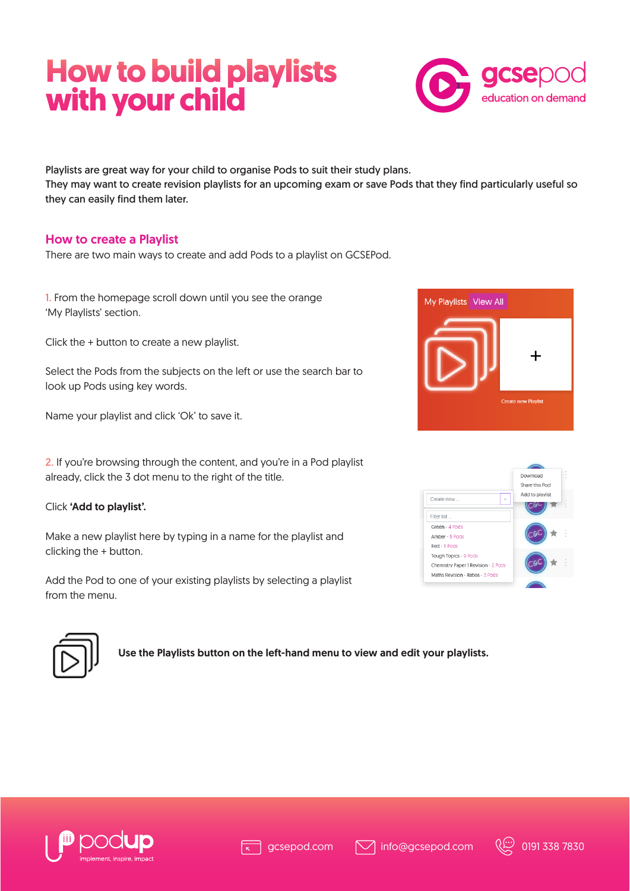# **How to build playlists with your child**



Playlists are great way for your child to organise Pods to suit their study plans. They may want to create revision playlists for an upcoming exam or save Pods that they find particularly useful so they can easily find them later.

## How to create a Playlist

There are two main ways to create and add Pods to a playlist on GCSEPod.

1. From the homepage scroll down until you see the orange 'My Playlists' section.

Click the + button to create a new playlist.

Select the Pods from the subjects on the left or use the search bar to look up Pods using key words.

Name your playlist and click 'Ok' to save it.

2. If you're browsing through the content, and you're in a Pod playlist already, click the 3 dot menu to the right of the title.

#### Click 'Add to playlist'.

Make a new playlist here by typing in a name for the playlist and clicking the + button.

Add the Pod to one of your existing playlists by selecting a playlist from the menu.







Use the Playlists button on the left-hand menu to view and edit your playlists.